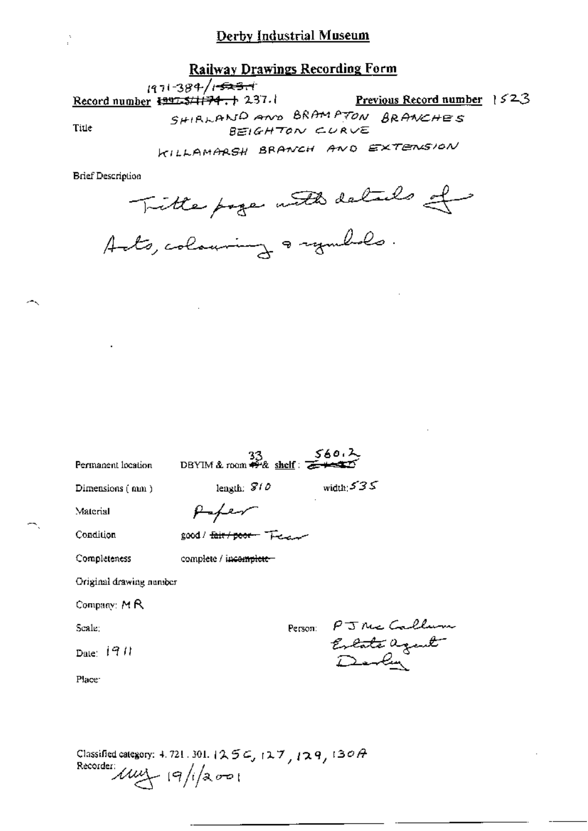### **Railway Drawings Recording Form**

 $1971 - 384 / 1 - 523 + 1$ 

Record number  $\frac{1997.5}{174.1}$  237.

Previous Record number 1523

Title

SHIRLAND AND BRAMPTON BRANCHES BEIGHTON CURVE

KILLAMARSH BRANCH AND EXTENSION

**Brief Description** 

Tritte page with details of

| Permanent location      | DBYIM & room $\frac{33}{2}$ shelf: $\frac{560.2}{224.20}$ |                                      |
|-------------------------|-----------------------------------------------------------|--------------------------------------|
| Dimensions (nun)        | length: $810$                                             | width $535$                          |
| Material                |                                                           |                                      |
| Condition               | good / <del>fair / poor –</del> T                         |                                      |
| Completeness            | complete / incomplete-                                    |                                      |
| Original drawing number |                                                           |                                      |
| Company: MR             |                                                           |                                      |
| Scale:                  |                                                           | Person:                              |
| Date: $1911$            |                                                           | PJNE Calle<br>Extate agent<br>Devlin |
| Place:                  |                                                           |                                      |
|                         |                                                           |                                      |
|                         |                                                           |                                      |

Classified category: 4, 721, 301,  $(25\epsilon, 127, 129, 130A)$ Recorder  $\mu$  $\mu$   $|9/|2001$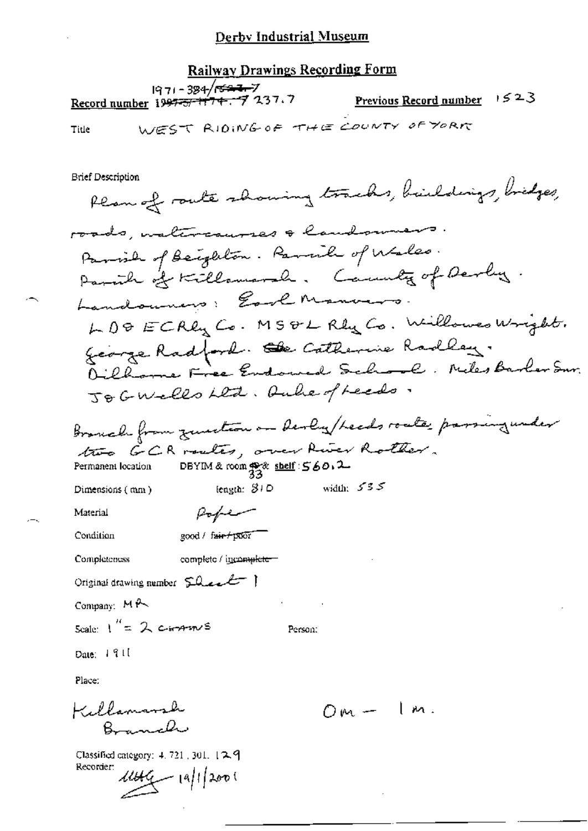**Railway Drawings Recording Form** 1971-384/<del>023-7</del> Previous Record number  $1523$ Record number 1997-57 174. 7 237.7 WEST RIDING OF THE COUNTY OF YORK Title **Brief Description** Plan of route showing tracks, buildings, bridges, roads, materiausses & landowner Parish of Beighton. Parish of Wales. Parath of Killamarah. Cannoty of Derly. Landouning: Earl Manvers LD& ECRLy Co. MS&L Rly Co. Willowso Wright. George Radford. Se Catherine Radley. Oillame Free Endowed School. Neles Barber Sur. JoGWells Led. Auher/reeds. Bronch from zusetern on derly/heads roate passing under two GCR routes, over River Rother. DBYIM & room  $\frac{40}{33}$  shelf:  $560.2$ Permanent location width:  $555$ length:  $31D$ Dimensions (mm) Popen Material Condition good / fair+poor Completeness complete / incomplete Original drawing number 50 est Company: MP Scale:  $1'' = 2$  corrents Person: Date:  $191$ Place: Killamarsh  $Om - Im.$ Branch

Classified category: 4, 721, 301, 129 Recorder:  $1449 - 19/12001$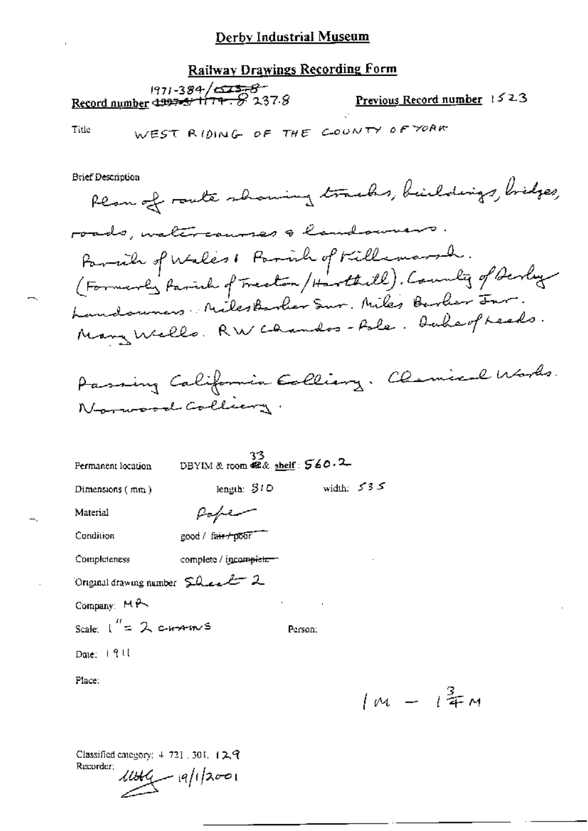**Railway Drawings Recording Form** 

1971-384/ $\frac{23}{5}$ <br>Record number 4997-3/174.  $\frac{1}{2}$  237.8 Previous Record number 1523

WEST RIDING OF THE COUNTY OF YORK Title

**Brief Description** 

Rear of route showing tracks, buildings, bidges, roads, watercauses & landowners. Parmich of Wales & Parmich of Killemarsh.<br>(Formerly farmich of Treaton / Harthill). County of Berley Landswars NilesBarber Sur. Miles Barber Jur. Many Wells. RW cannos-fole. Duheof reads.

Passing California Ealliery. Clemical Works. Norwood Colliany.

| Permanent location                | 33<br>DBYIM & room $\mathbb{Z}$ & shelf: $560.2$ |              |
|-----------------------------------|--------------------------------------------------|--------------|
| Dimensions $(mn)$                 | length: $S1D$                                    | width: $535$ |
| Material                          | Paper                                            |              |
| Condition                         | good / fair poor                                 |              |
| Completeness                      | complete / incomplete-                           |              |
| Original drawing number 5 heart 2 |                                                  |              |
| Company: MA                       |                                                  | $\cdot$      |
| Scale: $1'' = 2$ c-H-A-m-S        |                                                  | Person:      |
| Date: 1911                        |                                                  |              |
| Place:                            |                                                  |              |

 $1m - i^{\frac{3}{4}}m$ 

Classified category: 4-721 .301. 129 Recorder;  $11149 - 19/12001$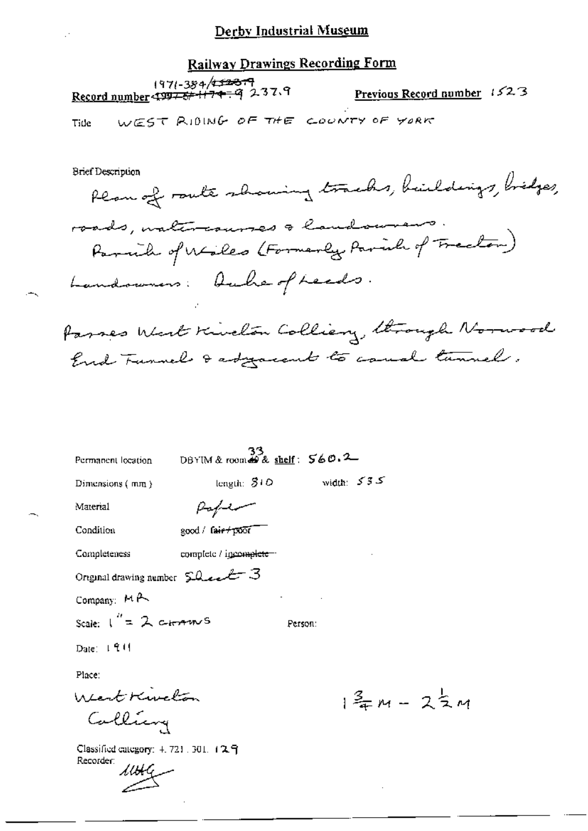# **Railway Drawings Recording Form**

| 1971-384/ <del>152379</del><br>Record number 499 <del>75/11747</del> 9 237.9 | <b>Previous Record number</b> 1523 |  |
|------------------------------------------------------------------------------|------------------------------------|--|
|                                                                              |                                    |  |

WEST RIDING OF THE COUNTY OF YORK Tide

**Brief Description** 

 $\rightarrow$ 

| Brief Description                                                                 |
|-----------------------------------------------------------------------------------|
| Plan of route showing tracks, buildings, bridges,                                 |
|                                                                                   |
| roads, untercourses a landowners.<br>Parnik of Wiles (Formerly Parish of Frector) |
| Landowners: Aubre of Leads.                                                       |
|                                                                                   |

Passes West Kivelon Colliery, through Norwood End Tunnels & adjacent to cause tunnels.

| Permanent location                               | DBYIM & room $68$ shelf: $560.2-$ |         |                                 |  |
|--------------------------------------------------|-----------------------------------|---------|---------------------------------|--|
| Dimensions (mm )                                 | length: $310$                     |         | width: $535$                    |  |
| Material                                         | ستستلهم                           |         |                                 |  |
| Condition                                        | good / fair+poor                  |         |                                 |  |
| Completeness                                     | complete / igromplete -           |         |                                 |  |
| Original drawing number $\Omega$ ext $3$         |                                   |         |                                 |  |
| Company: $M \rightarrow$                         |                                   |         |                                 |  |
| Scale: $1'' = 2$ c-tomber S                      |                                   | Person: |                                 |  |
| Date: $1.911$                                    |                                   |         |                                 |  |
| Place:                                           |                                   |         |                                 |  |
| West Kivelon<br>Calliang                         |                                   |         | $1\frac{2}{3}m - 2\frac{1}{2}m$ |  |
|                                                  |                                   |         |                                 |  |
| Classified category: 4.721.301. 129<br>Recorder: |                                   |         |                                 |  |
| $\mathcal{M}\mathcal{H}$                         |                                   |         |                                 |  |